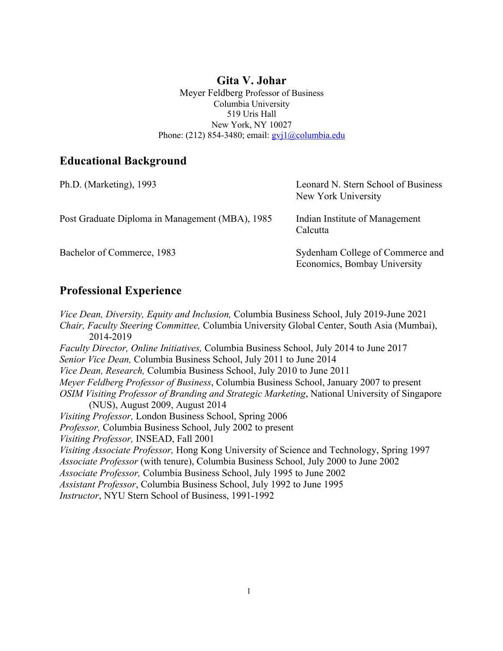### **Gita V. Johar**

Meyer Feldberg Professor of Business Columbia University 519 Uris Hall New York, NY 10027 Phone: (212) 854-3480; email: gvj1@columbia.edu

### **Educational Background**

| Ph.D. (Marketing), 1993                         | Leonard N. Stern School of Business<br>New York University       |
|-------------------------------------------------|------------------------------------------------------------------|
| Post Graduate Diploma in Management (MBA), 1985 | Indian Institute of Management<br>Calcutta                       |
| Bachelor of Commerce, 1983                      | Sydenham College of Commerce and<br>Economics, Bombay University |

### **Professional Experience**

*Vice Dean, Diversity, Equity and Inclusion,* Columbia Business School, July 2019-June 2021 *Chair, Faculty Steering Committee,* Columbia University Global Center, South Asia (Mumbai), 2014-2019 *Faculty Director, Online Initiatives,* Columbia Business School, July 2014 to June 2017 *Senior Vice Dean,* Columbia Business School, July 2011 to June 2014 *Vice Dean, Research,* Columbia Business School, July 2010 to June 2011 *Meyer Feldberg Professor of Business*, Columbia Business School, January 2007 to present *OSIM Visiting Professor of Branding and Strategic Marketing*, National University of Singapore (NUS), August 2009, August 2014 *Visiting Professor,* London Business School, Spring 2006 *Professor,* Columbia Business School, July 2002 to present *Visiting Professor,* INSEAD, Fall 2001 *Visiting Associate Professor,* Hong Kong University of Science and Technology, Spring 1997 *Associate Professor* (with tenure), Columbia Business School, July 2000 to June 2002 *Associate Professor,* Columbia Business School, July 1995 to June 2002 *Assistant Professor*, Columbia Business School, July 1992 to June 1995 *Instructor*, NYU Stern School of Business, 1991-1992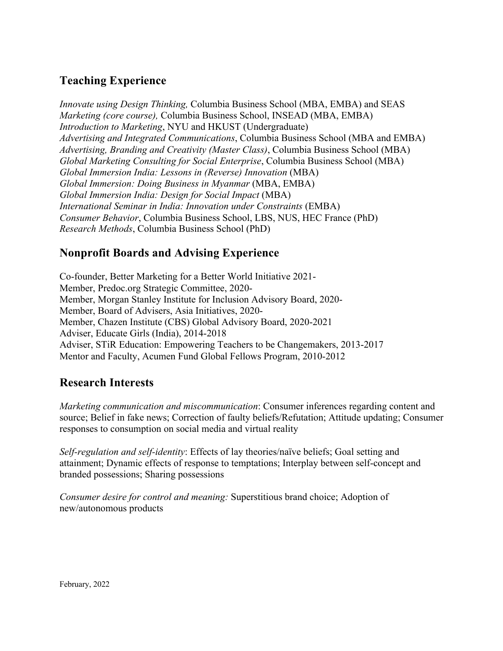# **Teaching Experience**

*Innovate using Design Thinking,* Columbia Business School (MBA, EMBA) and SEAS *Marketing (core course),* Columbia Business School, INSEAD (MBA, EMBA) *Introduction to Marketing*, NYU and HKUST (Undergraduate) *Advertising and Integrated Communications*, Columbia Business School (MBA and EMBA) *Advertising, Branding and Creativity (Master Class)*, Columbia Business School (MBA) *Global Marketing Consulting for Social Enterprise*, Columbia Business School (MBA) *Global Immersion India: Lessons in (Reverse) Innovation* (MBA) *Global Immersion: Doing Business in Myanmar* (MBA, EMBA) *Global Immersion India: Design for Social Impact* (MBA) *International Seminar in India: Innovation under Constraints* (EMBA) *Consumer Behavior*, Columbia Business School, LBS, NUS, HEC France (PhD) *Research Methods*, Columbia Business School (PhD)

## **Nonprofit Boards and Advising Experience**

Co-founder, Better Marketing for a Better World Initiative 2021- Member, Predoc.org Strategic Committee, 2020- Member, Morgan Stanley Institute for Inclusion Advisory Board, 2020- Member, Board of Advisers, Asia Initiatives, 2020- Member, Chazen Institute (CBS) Global Advisory Board, 2020-2021 Adviser, Educate Girls (India), 2014-2018 Adviser, STiR Education: Empowering Teachers to be Changemakers, 2013-2017 Mentor and Faculty, Acumen Fund Global Fellows Program, 2010-2012

## **Research Interests**

*Marketing communication and miscommunication*: Consumer inferences regarding content and source; Belief in fake news; Correction of faulty beliefs/Refutation; Attitude updating; Consumer responses to consumption on social media and virtual reality

*Self-regulation and self-identity*: Effects of lay theories/naïve beliefs; Goal setting and attainment; Dynamic effects of response to temptations; Interplay between self-concept and branded possessions; Sharing possessions

*Consumer desire for control and meaning:* Superstitious brand choice; Adoption of new/autonomous products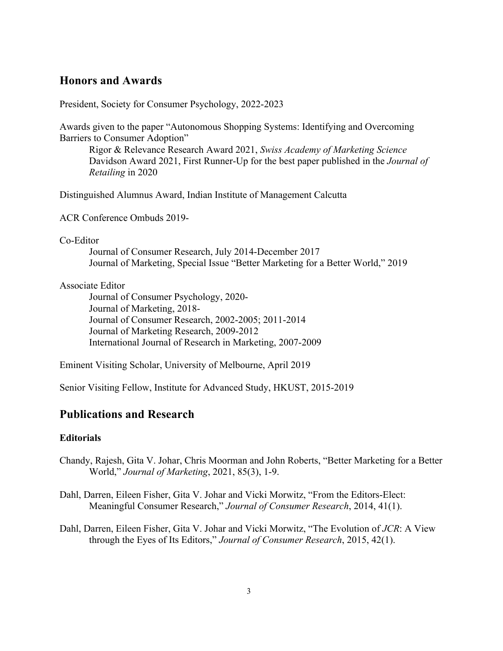### **Honors and Awards**

President, Society for Consumer Psychology, 2022-2023

Awards given to the paper "Autonomous Shopping Systems: Identifying and Overcoming Barriers to Consumer Adoption"

Rigor & Relevance Research Award 2021, *Swiss Academy of Marketing Science* Davidson Award 2021, First Runner-Up for the best paper published in the *Journal of Retailing* in 2020

Distinguished Alumnus Award, Indian Institute of Management Calcutta

ACR Conference Ombuds 2019-

Co-Editor

Journal of Consumer Research, July 2014-December 2017 Journal of Marketing, Special Issue "Better Marketing for a Better World," 2019

#### Associate Editor

Journal of Consumer Psychology, 2020- Journal of Marketing, 2018- Journal of Consumer Research, 2002-2005; 2011-2014 Journal of Marketing Research, 2009-2012 International Journal of Research in Marketing, 2007-2009

Eminent Visiting Scholar, University of Melbourne, April 2019

Senior Visiting Fellow, Institute for Advanced Study, HKUST, 2015-2019

### **Publications and Research**

#### **Editorials**

- Chandy, Rajesh, Gita V. Johar, Chris Moorman and John Roberts, "Better Marketing for a Better World," *Journal of Marketing*, 2021, 85(3), 1-9.
- Dahl, Darren, Eileen Fisher, Gita V. Johar and Vicki Morwitz, "From the Editors-Elect: Meaningful Consumer Research," *Journal of Consumer Research*, 2014, 41(1).
- Dahl, Darren, Eileen Fisher, Gita V. Johar and Vicki Morwitz, "The Evolution of *JCR*: A View through the Eyes of Its Editors," *Journal of Consumer Research*, 2015, 42(1).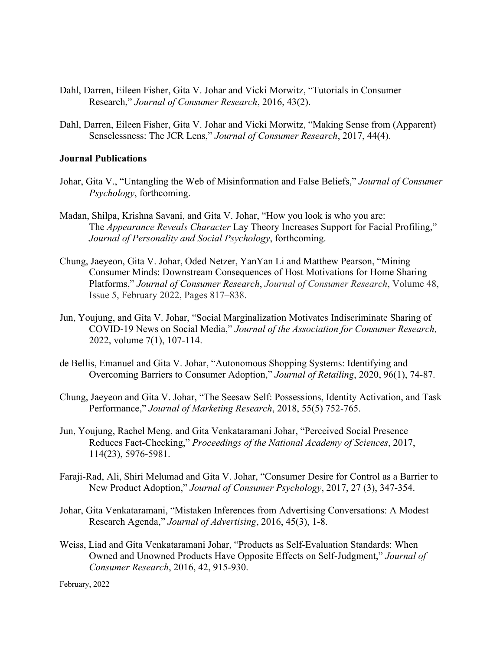- Dahl, Darren, Eileen Fisher, Gita V. Johar and Vicki Morwitz, "Tutorials in Consumer Research," *Journal of Consumer Research*, 2016, 43(2).
- Dahl, Darren, Eileen Fisher, Gita V. Johar and Vicki Morwitz, "Making Sense from (Apparent) Senselessness: The JCR Lens," *Journal of Consumer Research*, 2017, 44(4).

#### **Journal Publications**

- Johar, Gita V., "Untangling the Web of Misinformation and False Beliefs," *Journal of Consumer Psychology*, forthcoming.
- Madan, Shilpa, Krishna Savani, and Gita V. Johar, "How you look is who you are: The *Appearance Reveals Character* Lay Theory Increases Support for Facial Profiling," *Journal of Personality and Social Psychology*, forthcoming.
- Chung, Jaeyeon, Gita V. Johar, Oded Netzer, YanYan Li and Matthew Pearson, "Mining Consumer Minds: Downstream Consequences of Host Motivations for Home Sharing Platforms," *Journal of Consumer Research*, *Journal of Consumer Research*, Volume 48, Issue 5, February 2022, Pages 817–838.
- Jun, Youjung, and Gita V. Johar, "Social Marginalization Motivates Indiscriminate Sharing of COVID-19 News on Social Media," *Journal of the Association for Consumer Research,* 2022, volume 7(1), 107-114.
- de Bellis, Emanuel and Gita V. Johar, "Autonomous Shopping Systems: Identifying and Overcoming Barriers to Consumer Adoption," *Journal of Retailing*, 2020, 96(1), 74-87.
- Chung, Jaeyeon and Gita V. Johar, "The Seesaw Self: Possessions, Identity Activation, and Task Performance," *Journal of Marketing Research*, 2018, 55(5) 752-765.
- Jun, Youjung, Rachel Meng, and Gita Venkataramani Johar, "Perceived Social Presence Reduces Fact-Checking," *Proceedings of the National Academy of Sciences*, 2017, 114(23), 5976-5981.
- Faraji-Rad, Ali, Shiri Melumad and Gita V. Johar, "Consumer Desire for Control as a Barrier to New Product Adoption," *Journal of Consumer Psychology*, 2017, 27 (3), 347-354.
- Johar, Gita Venkataramani, "Mistaken Inferences from Advertising Conversations: A Modest Research Agenda," *Journal of Advertising*, 2016, 45(3), 1-8.
- Weiss, Liad and Gita Venkataramani Johar, "Products as Self-Evaluation Standards: When Owned and Unowned Products Have Opposite Effects on Self-Judgment," *Journal of Consumer Research*, 2016, 42, 915-930.

February, 2022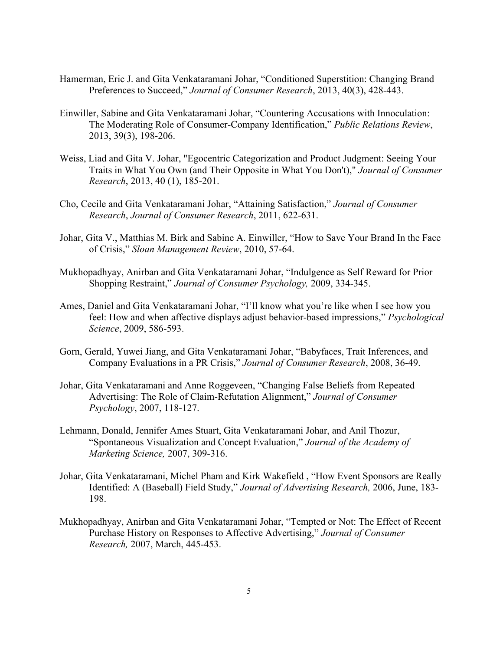- Hamerman, Eric J. and Gita Venkataramani Johar, "Conditioned Superstition: Changing Brand Preferences to Succeed," *Journal of Consumer Research*, 2013, 40(3), 428-443.
- Einwiller, Sabine and Gita Venkataramani Johar, "Countering Accusations with Innoculation: The Moderating Role of Consumer-Company Identification," *Public Relations Review*, 2013, 39(3), 198-206.
- Weiss, Liad and Gita V. Johar, "Egocentric Categorization and Product Judgment: Seeing Your Traits in What You Own (and Their Opposite in What You Don't)," *Journal of Consumer Research*, 2013, 40 (1), 185-201.
- Cho, Cecile and Gita Venkataramani Johar, "Attaining Satisfaction," *Journal of Consumer Research*, *Journal of Consumer Research*, 2011, 622-631.
- Johar, Gita V., Matthias M. Birk and Sabine A. Einwiller, "How to Save Your Brand In the Face of Crisis," *Sloan Management Review*, 2010, 57-64.
- Mukhopadhyay, Anirban and Gita Venkataramani Johar, "Indulgence as Self Reward for Prior Shopping Restraint," *Journal of Consumer Psychology,* 2009, 334-345.
- Ames, Daniel and Gita Venkataramani Johar, "I'll know what you're like when I see how you feel: How and when affective displays adjust behavior-based impressions," *Psychological Science*, 2009, 586-593.
- Gorn, Gerald, Yuwei Jiang, and Gita Venkataramani Johar, "Babyfaces, Trait Inferences, and Company Evaluations in a PR Crisis," *Journal of Consumer Research*, 2008, 36-49.
- Johar, Gita Venkataramani and Anne Roggeveen, "Changing False Beliefs from Repeated Advertising: The Role of Claim-Refutation Alignment," *Journal of Consumer Psychology*, 2007, 118-127.
- Lehmann, Donald, Jennifer Ames Stuart, Gita Venkataramani Johar, and Anil Thozur, "Spontaneous Visualization and Concept Evaluation," *Journal of the Academy of Marketing Science,* 2007, 309-316.
- Johar, Gita Venkataramani, Michel Pham and Kirk Wakefield , "How Event Sponsors are Really Identified: A (Baseball) Field Study," *Journal of Advertising Research,* 2006, June, 183- 198.
- Mukhopadhyay, Anirban and Gita Venkataramani Johar, "Tempted or Not: The Effect of Recent Purchase History on Responses to Affective Advertising," *Journal of Consumer Research,* 2007, March, 445-453.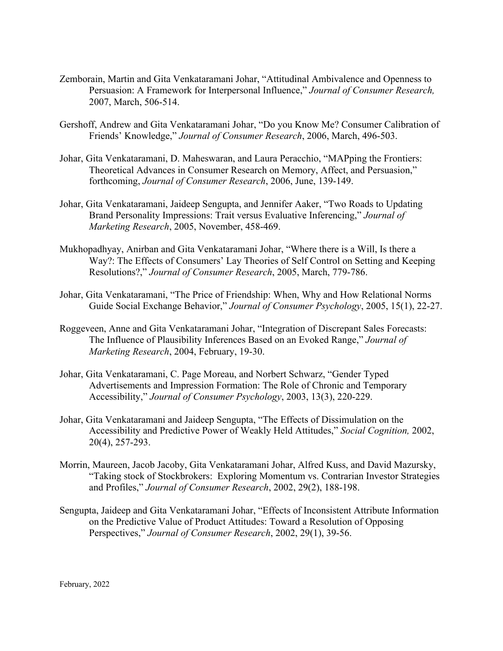- Zemborain, Martin and Gita Venkataramani Johar, "Attitudinal Ambivalence and Openness to Persuasion: A Framework for Interpersonal Influence," *Journal of Consumer Research,*  2007, March, 506-514.
- Gershoff, Andrew and Gita Venkataramani Johar, "Do you Know Me? Consumer Calibration of Friends' Knowledge," *Journal of Consumer Research*, 2006, March, 496-503.
- Johar, Gita Venkataramani, D. Maheswaran, and Laura Peracchio, "MAPping the Frontiers: Theoretical Advances in Consumer Research on Memory, Affect, and Persuasion," forthcoming, *Journal of Consumer Research*, 2006, June, 139-149.
- Johar, Gita Venkataramani, Jaideep Sengupta, and Jennifer Aaker, "Two Roads to Updating Brand Personality Impressions: Trait versus Evaluative Inferencing," *Journal of Marketing Research*, 2005, November, 458-469.
- Mukhopadhyay, Anirban and Gita Venkataramani Johar, "Where there is a Will, Is there a Way?: The Effects of Consumers' Lay Theories of Self Control on Setting and Keeping Resolutions?," *Journal of Consumer Research*, 2005, March, 779-786.
- Johar, Gita Venkataramani, "The Price of Friendship: When, Why and How Relational Norms Guide Social Exchange Behavior," *Journal of Consumer Psychology*, 2005, 15(1), 22-27.
- Roggeveen, Anne and Gita Venkataramani Johar, "Integration of Discrepant Sales Forecasts: The Influence of Plausibility Inferences Based on an Evoked Range," *Journal of Marketing Research*, 2004, February, 19-30.
- Johar, Gita Venkataramani, C. Page Moreau, and Norbert Schwarz, "Gender Typed Advertisements and Impression Formation: The Role of Chronic and Temporary Accessibility," *Journal of Consumer Psychology*, 2003, 13(3), 220-229.
- Johar, Gita Venkataramani and Jaideep Sengupta, "The Effects of Dissimulation on the Accessibility and Predictive Power of Weakly Held Attitudes," *Social Cognition,* 2002, 20(4), 257-293.
- Morrin, Maureen, Jacob Jacoby, Gita Venkataramani Johar, Alfred Kuss, and David Mazursky, "Taking stock of Stockbrokers: Exploring Momentum vs. Contrarian Investor Strategies and Profiles," *Journal of Consumer Research*, 2002, 29(2), 188-198.
- Sengupta, Jaideep and Gita Venkataramani Johar, "Effects of Inconsistent Attribute Information on the Predictive Value of Product Attitudes: Toward a Resolution of Opposing Perspectives," *Journal of Consumer Research*, 2002, 29(1), 39-56.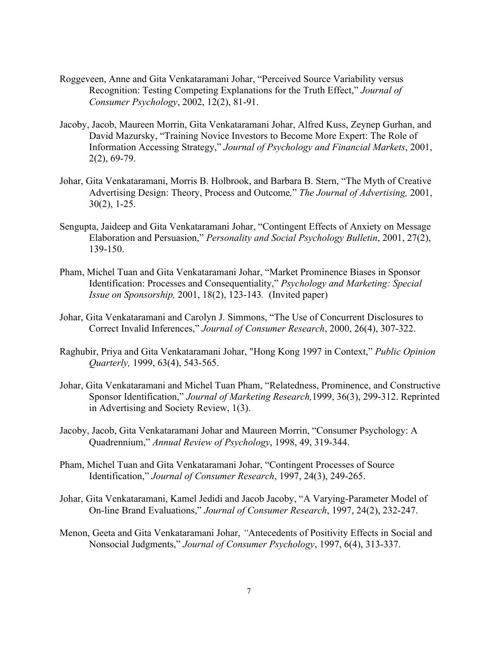- Roggeveen, Anne and Gita Venkataramani Johar, "Perceived Source Variability versus Recognition: Testing Competing Explanations for the Truth Effect," *Journal of Consumer Psychology*, 2002, 12(2), 81-91.
- Jacoby, Jacob, Maureen Morrin, Gita Venkataramani Johar, Alfred Kuss, Zeynep Gurhan, and David Mazursky, "Training Novice Investors to Become More Expert: The Role of Information Accessing Strategy," *Journal of Psychology and Financial Markets*, 2001, 2(2), 69-79.
- Johar, Gita Venkataramani, Morris B. Holbrook, and Barbara B. Stern, "The Myth of Creative Advertising Design: Theory, Process and Outcome*,*" *The Journal of Advertising,* 2001, 30(2), 1-25.
- Sengupta, Jaideep and Gita Venkataramani Johar, "Contingent Effects of Anxiety on Message Elaboration and Persuasion," *Personality and Social Psychology Bulletin*, 2001, 27(2), 139-150.
- Pham, Michel Tuan and Gita Venkataramani Johar, "Market Prominence Biases in Sponsor Identification: Processes and Consequentiality," *Psychology and Marketing: Special Issue on Sponsorship,* 2001, 18(2), 123-143*.* (Invited paper)
- Johar, Gita Venkataramani and Carolyn J. Simmons, "The Use of Concurrent Disclosures to Correct Invalid Inferences," *Journal of Consumer Research*, 2000, 26(4), 307-322.
- Raghubir, Priya and Gita Venkataramani Johar, "Hong Kong 1997 in Context," *Public Opinion Quarterly,* 1999, 63(4), 543-565.
- Johar, Gita Venkataramani and Michel Tuan Pham, "Relatedness, Prominence, and Constructive Sponsor Identification," *Journal of Marketing Research,*1999, 36(3), 299-312. Reprinted in Advertising and Society Review, 1(3).
- Jacoby, Jacob, Gita Venkataramani Johar and Maureen Morrin, "Consumer Psychology: A Quadrennium," *Annual Review of Psychology*, 1998, 49, 319-344.
- Pham, Michel Tuan and Gita Venkataramani Johar, "Contingent Processes of Source Identification," *Journal of Consumer Research*, 1997, 24(3), 249-265.
- Johar, Gita Venkataramani, Kamel Jedidi and Jacob Jacoby, "A Varying-Parameter Model of On-line Brand Evaluations," *Journal of Consumer Research*, 1997, 24(2), 232-247.
- Menon, Geeta and Gita Venkataramani Johar, *"*Antecedents of Positivity Effects in Social and Nonsocial Judgments," *Journal of Consumer Psychology*, 1997, 6(4), 313-337.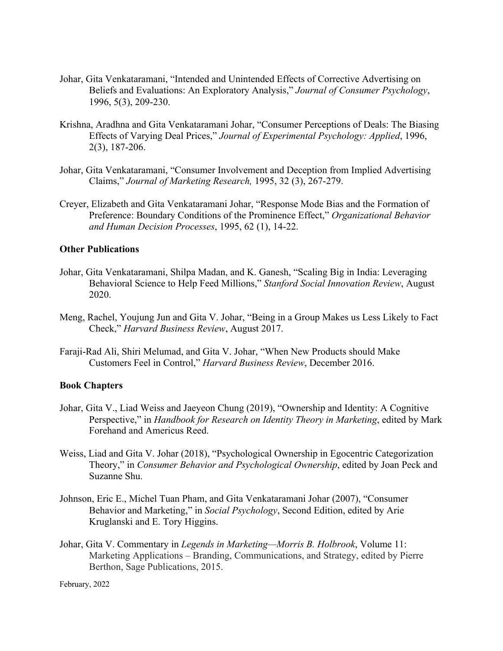- Johar, Gita Venkataramani, "Intended and Unintended Effects of Corrective Advertising on Beliefs and Evaluations: An Exploratory Analysis," *Journal of Consumer Psychology*, 1996, 5(3), 209-230.
- Krishna, Aradhna and Gita Venkataramani Johar, "Consumer Perceptions of Deals: The Biasing Effects of Varying Deal Prices," *Journal of Experimental Psychology: Applied*, 1996, 2(3), 187-206.
- Johar, Gita Venkataramani, "Consumer Involvement and Deception from Implied Advertising Claims," *Journal of Marketing Research,* 1995, 32 (3), 267-279.
- Creyer, Elizabeth and Gita Venkataramani Johar, "Response Mode Bias and the Formation of Preference: Boundary Conditions of the Prominence Effect," *Organizational Behavior and Human Decision Processes*, 1995, 62 (1), 14-22.

#### **Other Publications**

- Johar, Gita Venkataramani, Shilpa Madan, and K. Ganesh, "Scaling Big in India: Leveraging Behavioral Science to Help Feed Millions," *Stanford Social Innovation Review*, August 2020.
- Meng, Rachel, Youjung Jun and Gita V. Johar, "Being in a Group Makes us Less Likely to Fact Check," *Harvard Business Review*, August 2017.
- Faraji-Rad Ali, Shiri Melumad, and Gita V. Johar, "When New Products should Make Customers Feel in Control," *Harvard Business Review*, December 2016.

#### **Book Chapters**

- Johar, Gita V., Liad Weiss and Jaeyeon Chung (2019), "Ownership and Identity: A Cognitive Perspective," in *Handbook for Research on Identity Theory in Marketing*, edited by Mark Forehand and Americus Reed.
- Weiss, Liad and Gita V. Johar (2018), "Psychological Ownership in Egocentric Categorization Theory," in *Consumer Behavior and Psychological Ownership*, edited by Joan Peck and Suzanne Shu.
- Johnson, Eric E., Michel Tuan Pham, and Gita Venkataramani Johar (2007), "Consumer Behavior and Marketing," in *Social Psychology*, Second Edition, edited by Arie Kruglanski and E. Tory Higgins.
- Johar, Gita V. Commentary in *Legends in Marketing—Morris B. Holbrook*, Volume 11: Marketing Applications – Branding, Communications, and Strategy, edited by Pierre Berthon, Sage Publications, 2015.

February, 2022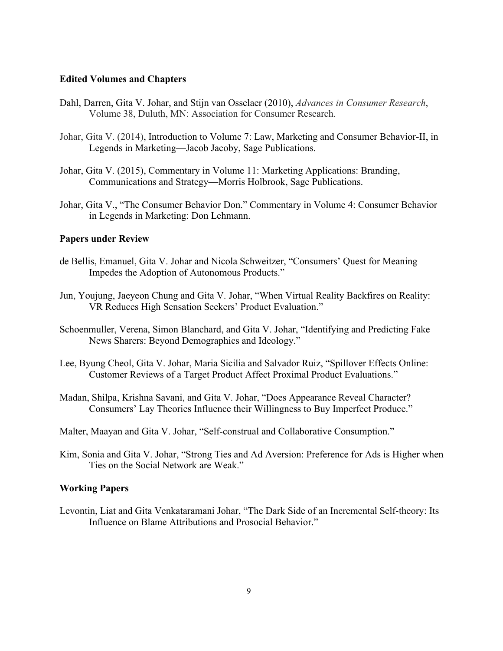#### **Edited Volumes and Chapters**

- Dahl, Darren, Gita V. Johar, and Stijn van Osselaer (2010), *Advances in Consumer Research*, Volume 38, Duluth, MN: Association for Consumer Research.
- Johar, Gita V. (2014), Introduction to Volume 7: Law, Marketing and Consumer Behavior-II, in Legends in Marketing—Jacob Jacoby, Sage Publications.
- Johar, Gita V. (2015), Commentary in Volume 11: Marketing Applications: Branding, Communications and Strategy—Morris Holbrook, Sage Publications.
- Johar, Gita V., "The Consumer Behavior Don." Commentary in Volume 4: Consumer Behavior in Legends in Marketing: Don Lehmann.

#### **Papers under Review**

- de Bellis, Emanuel, Gita V. Johar and Nicola Schweitzer, "Consumers' Quest for Meaning Impedes the Adoption of Autonomous Products."
- Jun, Youjung, Jaeyeon Chung and Gita V. Johar, "When Virtual Reality Backfires on Reality: VR Reduces High Sensation Seekers' Product Evaluation."
- Schoenmuller, Verena, Simon Blanchard, and Gita V. Johar, "Identifying and Predicting Fake News Sharers: Beyond Demographics and Ideology."
- Lee, Byung Cheol, Gita V. Johar, Maria Sicilia and Salvador Ruiz, "Spillover Effects Online: Customer Reviews of a Target Product Affect Proximal Product Evaluations."
- Madan, Shilpa, Krishna Savani, and Gita V. Johar, "Does Appearance Reveal Character? Consumers' Lay Theories Influence their Willingness to Buy Imperfect Produce."

Malter, Maayan and Gita V. Johar, "Self-construal and Collaborative Consumption."

Kim, Sonia and Gita V. Johar, "Strong Ties and Ad Aversion: Preference for Ads is Higher when Ties on the Social Network are Weak."

#### **Working Papers**

Levontin, Liat and Gita Venkataramani Johar, "The Dark Side of an Incremental Self-theory: Its Influence on Blame Attributions and Prosocial Behavior."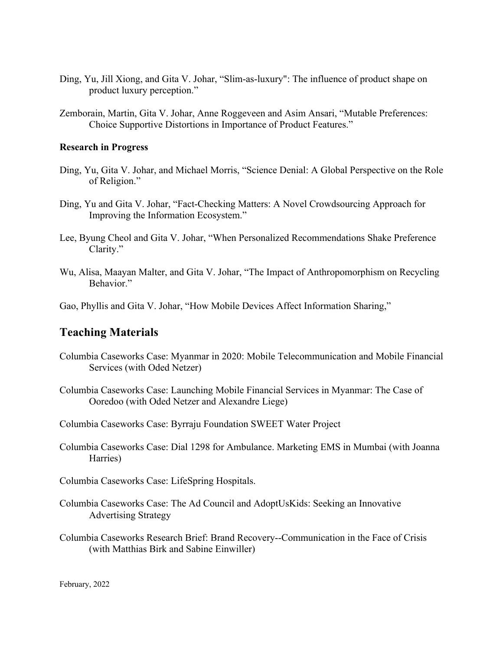- Ding, Yu, Jill Xiong, and Gita V. Johar, "Slim-as-luxury": The influence of product shape on product luxury perception."
- Zemborain, Martin, Gita V. Johar, Anne Roggeveen and Asim Ansari, "Mutable Preferences: Choice Supportive Distortions in Importance of Product Features."

#### **Research in Progress**

- Ding, Yu, Gita V. Johar, and Michael Morris, "Science Denial: A Global Perspective on the Role of Religion."
- Ding, Yu and Gita V. Johar, "Fact-Checking Matters: A Novel Crowdsourcing Approach for Improving the Information Ecosystem."
- Lee, Byung Cheol and Gita V. Johar, "When Personalized Recommendations Shake Preference Clarity."
- Wu, Alisa, Maayan Malter, and Gita V. Johar, "The Impact of Anthropomorphism on Recycling Behavior."

Gao, Phyllis and Gita V. Johar, "How Mobile Devices Affect Information Sharing,"

### **Teaching Materials**

- Columbia Caseworks Case: Myanmar in 2020: Mobile Telecommunication and Mobile Financial Services (with Oded Netzer)
- Columbia Caseworks Case: Launching Mobile Financial Services in Myanmar: The Case of Ooredoo (with Oded Netzer and Alexandre Liege)

Columbia Caseworks Case: Byrraju Foundation SWEET Water Project

- Columbia Caseworks Case: Dial 1298 for Ambulance. Marketing EMS in Mumbai (with Joanna Harries)
- Columbia Caseworks Case: LifeSpring Hospitals.
- Columbia Caseworks Case: The Ad Council and AdoptUsKids: Seeking an Innovative Advertising Strategy
- Columbia Caseworks Research Brief: Brand Recovery--Communication in the Face of Crisis (with Matthias Birk and Sabine Einwiller)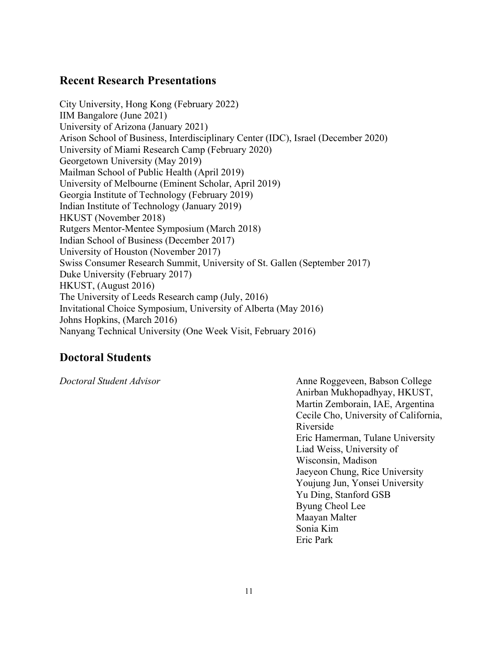## **Recent Research Presentations**

City University, Hong Kong (February 2022) IIM Bangalore (June 2021) University of Arizona (January 2021) Arison School of Business, Interdisciplinary Center (IDC), Israel (December 2020) University of Miami Research Camp (February 2020) Georgetown University (May 2019) Mailman School of Public Health (April 2019) University of Melbourne (Eminent Scholar, April 2019) Georgia Institute of Technology (February 2019) Indian Institute of Technology (January 2019) HKUST (November 2018) Rutgers Mentor-Mentee Symposium (March 2018) Indian School of Business (December 2017) University of Houston (November 2017) Swiss Consumer Research Summit, University of St. Gallen (September 2017) Duke University (February 2017) HKUST, (August 2016) The University of Leeds Research camp (July, 2016) Invitational Choice Symposium, University of Alberta (May 2016) Johns Hopkins, (March 2016) Nanyang Technical University (One Week Visit, February 2016)

## **Doctoral Students**

*Doctoral Student Advisor* Anne Roggeveen, Babson College Anirban Mukhopadhyay, HKUST, Martin Zemborain, IAE, Argentina Cecile Cho, University of California, Riverside Eric Hamerman, Tulane University Liad Weiss, University of Wisconsin, Madison Jaeyeon Chung, Rice University Youjung Jun, Yonsei University Yu Ding, Stanford GSB Byung Cheol Lee Maayan Malter Sonia Kim Eric Park